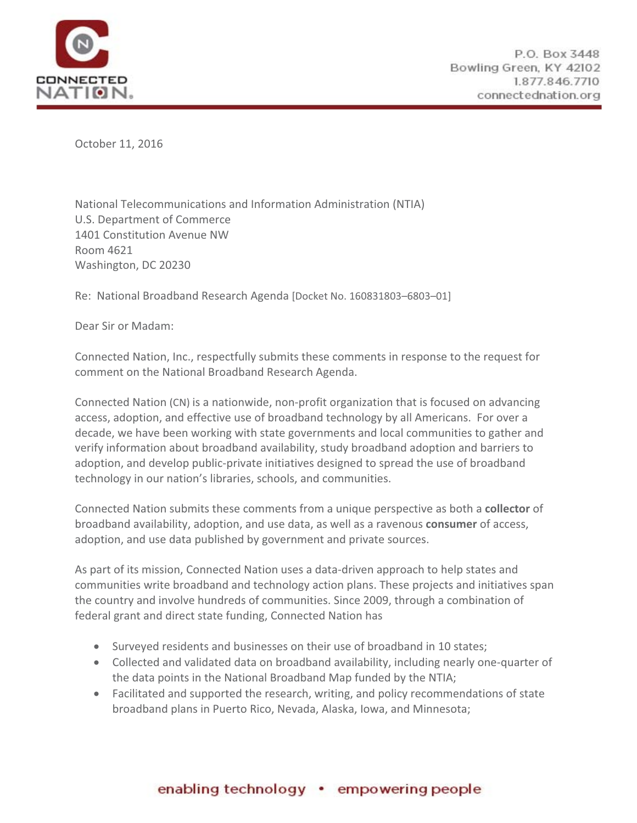

October 11, 2016

National Telecommunications and Information Administration (NTIA) U.S. Department of Commerce 1401 Constitution Avenue NW Room 4621 Washington, DC 20230

Re: National Broadband Research Agenda [Docket No. 160831803–6803–01]

Dear Sir or Madam:

Connected Nation, Inc., respectfully submits these comments in response to the request for comment on the National Broadband Research Agenda.

Connected Nation (CN) is a nationwide, non-profit organization that is focused on advancing access, adoption, and effective use of broadband technology by all Americans. For over a decade, we have been working with state governments and local communities to gather and verify information about broadband availability, study broadband adoption and barriers to adoption, and develop public-private initiatives designed to spread the use of broadband technology in our nation's libraries, schools, and communities.

Connected Nation submits these comments from a unique perspective as both a **collector** of broadband availability, adoption, and use data, as well as a ravenous **consumer** of access, adoption, and use data published by government and private sources.

As part of its mission, Connected Nation uses a data-driven approach to help states and communities write broadband and technology action plans. These projects and initiatives span the country and involve hundreds of communities. Since 2009, through a combination of federal grant and direct state funding, Connected Nation has

- Surveyed residents and businesses on their use of broadband in 10 states;
- Collected and validated data on broadband availability, including nearly one-quarter of the data points in the National Broadband Map funded by the NTIA;
- Facilitated and supported the research, writing, and policy recommendations of state broadband plans in Puerto Rico, Nevada, Alaska, Iowa, and Minnesota;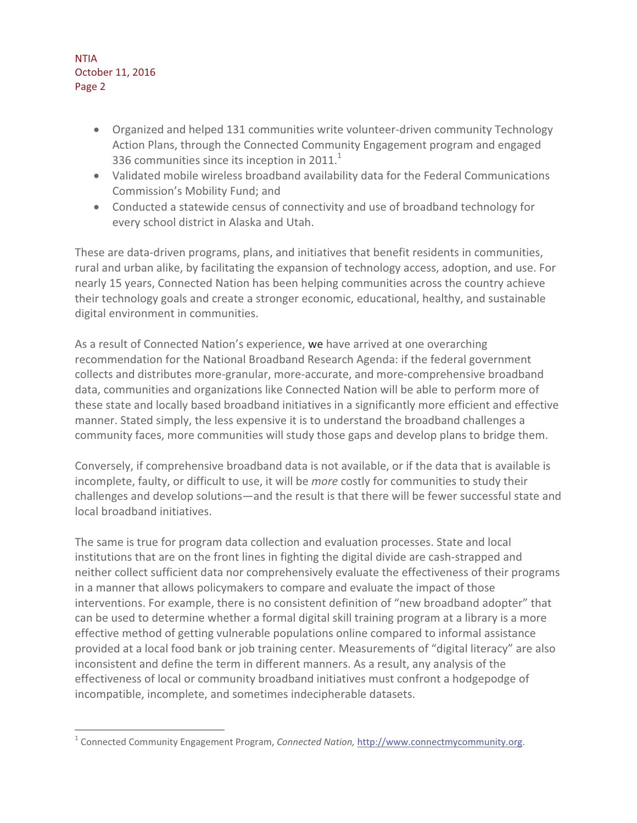$\overline{a}$ 

- Organized and helped 131 communities write volunteer-driven community Technology Action Plans, through the Connected Community Engagement program and engaged 336 communities since its inception in 2011. $^1$
- Validated mobile wireless broadband availability data for the Federal Communications Commission's Mobility Fund; and
- Conducted a statewide census of connectivity and use of broadband technology for every school district in Alaska and Utah.

These are data-driven programs, plans, and initiatives that benefit residents in communities, rural and urban alike, by facilitating the expansion of technology access, adoption, and use. For nearly 15 years, Connected Nation has been helping communities across the country achieve their technology goals and create a stronger economic, educational, healthy, and sustainable digital environment in communities.

As a result of Connected Nation's experience, we have arrived at one overarching recommendation for the National Broadband Research Agenda: if the federal government collects and distributes more-granular, more-accurate, and more-comprehensive broadband data, communities and organizations like Connected Nation will be able to perform more of these state and locally based broadband initiatives in a significantly more efficient and effective manner. Stated simply, the less expensive it is to understand the broadband challenges a community faces, more communities will study those gaps and develop plans to bridge them.

Conversely, if comprehensive broadband data is not available, or if the data that is available is incomplete, faulty, or difficult to use, it will be *more* costly for communities to study their challenges and develop solutions—and the result is that there will be fewer successful state and local broadband initiatives.

The same is true for program data collection and evaluation processes. State and local institutions that are on the front lines in fighting the digital divide are cash-strapped and neither collect sufficient data nor comprehensively evaluate the effectiveness of their programs in a manner that allows policymakers to compare and evaluate the impact of those interventions. For example, there is no consistent definition of "new broadband adopter" that can be used to determine whether a formal digital skill training program at a library is a more effective method of getting vulnerable populations online compared to informal assistance provided at a local food bank or job training center. Measurements of "digital literacy" are also inconsistent and define the term in different manners. As a result, any analysis of the effectiveness of local or community broadband initiatives must confront a hodgepodge of incompatible, incomplete, and sometimes indecipherable datasets.

<sup>&</sup>lt;sup>1</sup> Connected Community Engagement Program, *Connected Nation,* http://www.connectmycommunity.org.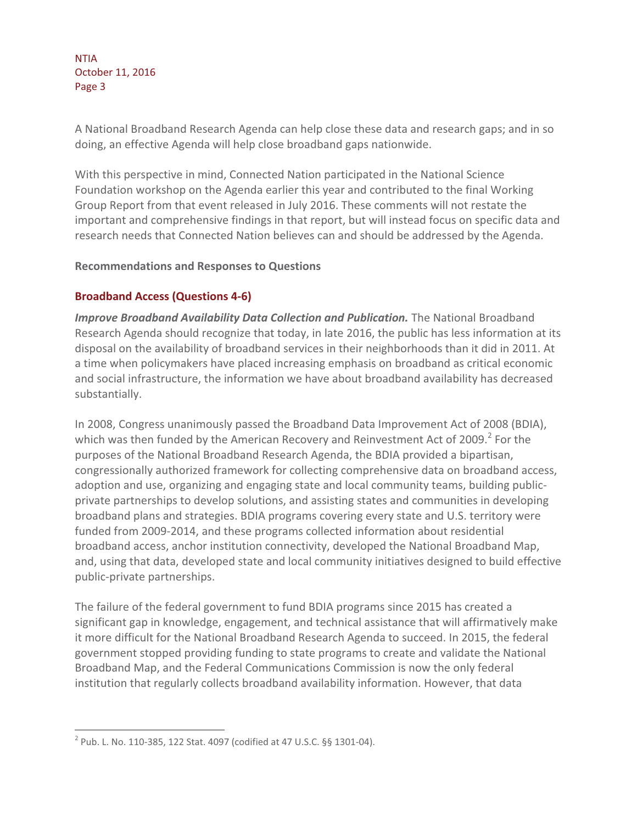A National Broadband Research Agenda can help close these data and research gaps; and in so doing, an effective Agenda will help close broadband gaps nationwide.

With this perspective in mind, Connected Nation participated in the National Science Foundation workshop on the Agenda earlier this year and contributed to the final Working Group Report from that event released in July 2016. These comments will not restate the important and comprehensive findings in that report, but will instead focus on specific data and research needs that Connected Nation believes can and should be addressed by the Agenda.

## **Recommendations and Responses to Questions**

## **Broadband Access (Questions 4-6)**

*Improve Broadband Availability Data Collection and Publication.* The National Broadband Research Agenda should recognize that today, in late 2016, the public has less information at its disposal on the availability of broadband services in their neighborhoods than it did in 2011. At a time when policymakers have placed increasing emphasis on broadband as critical economic and social infrastructure, the information we have about broadband availability has decreased substantially.

In 2008, Congress unanimously passed the Broadband Data Improvement Act of 2008 (BDIA), which was then funded by the American Recovery and Reinvestment Act of 2009. $^2$  For the purposes of the National Broadband Research Agenda, the BDIA provided a bipartisan, congressionally authorized framework for collecting comprehensive data on broadband access, adoption and use, organizing and engaging state and local community teams, building publicprivate partnerships to develop solutions, and assisting states and communities in developing broadband plans and strategies. BDIA programs covering every state and U.S. territory were funded from 2009-2014, and these programs collected information about residential broadband access, anchor institution connectivity, developed the National Broadband Map, and, using that data, developed state and local community initiatives designed to build effective public-private partnerships.

The failure of the federal government to fund BDIA programs since 2015 has created a significant gap in knowledge, engagement, and technical assistance that will affirmatively make it more difficult for the National Broadband Research Agenda to succeed. In 2015, the federal government stopped providing funding to state programs to create and validate the National Broadband Map, and the Federal Communications Commission is now the only federal institution that regularly collects broadband availability information. However, that data

 $\overline{a}$ 

<sup>&</sup>lt;sup>2</sup> Pub. L. No. 110-385, 122 Stat. 4097 (codified at 47 U.S.C. §§ 1301-04).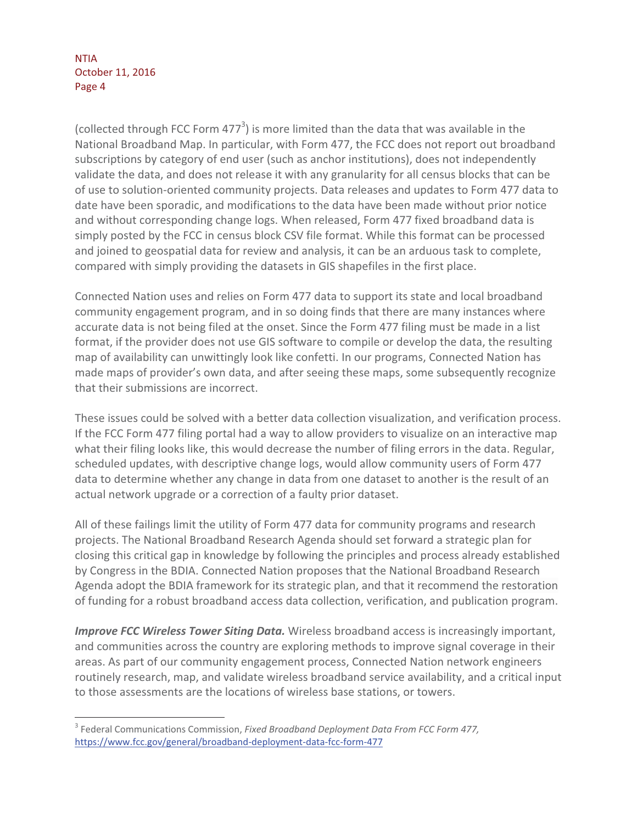$\overline{a}$ 

(collected through FCC Form 477 $3$ ) is more limited than the data that was available in the National Broadband Map. In particular, with Form 477, the FCC does not report out broadband subscriptions by category of end user (such as anchor institutions), does not independently validate the data, and does not release it with any granularity for all census blocks that can be of use to solution-oriented community projects. Data releases and updates to Form 477 data to date have been sporadic, and modifications to the data have been made without prior notice and without corresponding change logs. When released, Form 477 fixed broadband data is simply posted by the FCC in census block CSV file format. While this format can be processed and joined to geospatial data for review and analysis, it can be an arduous task to complete, compared with simply providing the datasets in GIS shapefiles in the first place.

Connected Nation uses and relies on Form 477 data to support its state and local broadband community engagement program, and in so doing finds that there are many instances where accurate data is not being filed at the onset. Since the Form 477 filing must be made in a list format, if the provider does not use GIS software to compile or develop the data, the resulting map of availability can unwittingly look like confetti. In our programs, Connected Nation has made maps of provider's own data, and after seeing these maps, some subsequently recognize that their submissions are incorrect.

These issues could be solved with a better data collection visualization, and verification process. If the FCC Form 477 filing portal had a way to allow providers to visualize on an interactive map what their filing looks like, this would decrease the number of filing errors in the data. Regular, scheduled updates, with descriptive change logs, would allow community users of Form 477 data to determine whether any change in data from one dataset to another is the result of an actual network upgrade or a correction of a faulty prior dataset.

All of these failings limit the utility of Form 477 data for community programs and research projects. The National Broadband Research Agenda should set forward a strategic plan for closing this critical gap in knowledge by following the principles and process already established by Congress in the BDIA. Connected Nation proposes that the National Broadband Research Agenda adopt the BDIA framework for its strategic plan, and that it recommend the restoration of funding for a robust broadband access data collection, verification, and publication program.

*Improve FCC Wireless Tower Siting Data.* Wireless broadband access is increasingly important, and communities across the country are exploring methods to improve signal coverage in their areas. As part of our community engagement process, Connected Nation network engineers routinely research, map, and validate wireless broadband service availability, and a critical input to those assessments are the locations of wireless base stations, or towers.

<sup>3</sup> Federal Communications Commission, *Fixed Broadband Deployment Data From FCC Form 477,* https://www.fcc.gov/general/broadband-deployment-data-fcc-form-477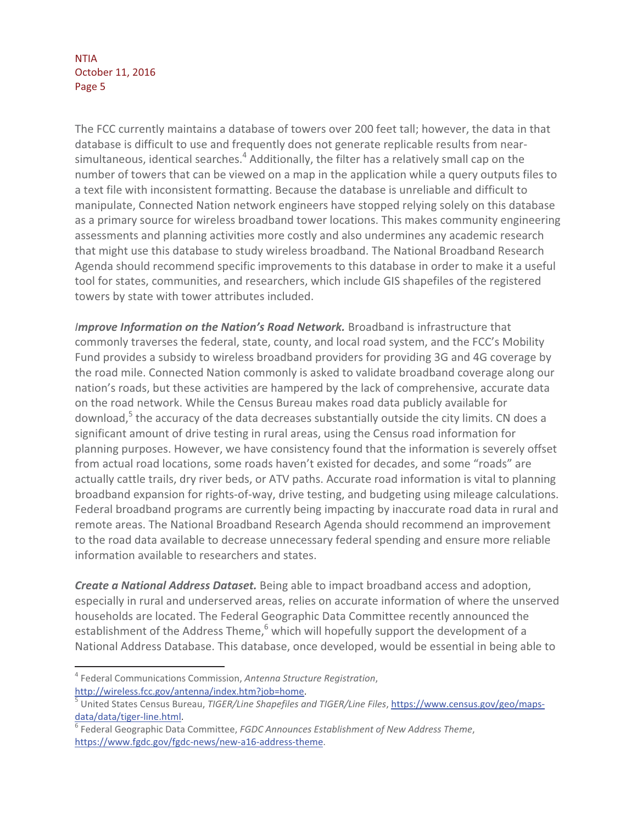The FCC currently maintains a database of towers over 200 feet tall; however, the data in that database is difficult to use and frequently does not generate replicable results from nearsimultaneous, identical searches. $^4$  Additionally, the filter has a relatively small cap on the number of towers that can be viewed on a map in the application while a query outputs files to a text file with inconsistent formatting. Because the database is unreliable and difficult to manipulate, Connected Nation network engineers have stopped relying solely on this database as a primary source for wireless broadband tower locations. This makes community engineering assessments and planning activities more costly and also undermines any academic research that might use this database to study wireless broadband. The National Broadband Research Agenda should recommend specific improvements to this database in order to make it a useful tool for states, communities, and researchers, which include GIS shapefiles of the registered towers by state with tower attributes included.

*Improve Information on the Nation's Road Network. Broadband is infrastructure that* commonly traverses the federal, state, county, and local road system, and the FCC's Mobility Fund provides a subsidy to wireless broadband providers for providing 3G and 4G coverage by the road mile. Connected Nation commonly is asked to validate broadband coverage along our nation's roads, but these activities are hampered by the lack of comprehensive, accurate data on the road network. While the Census Bureau makes road data publicly available for download,<sup>5</sup> the accuracy of the data decreases substantially outside the city limits. CN does a significant amount of drive testing in rural areas, using the Census road information for planning purposes. However, we have consistency found that the information is severely offset from actual road locations, some roads haven't existed for decades, and some "roads" are actually cattle trails, dry river beds, or ATV paths. Accurate road information is vital to planning broadband expansion for rights-of-way, drive testing, and budgeting using mileage calculations. Federal broadband programs are currently being impacting by inaccurate road data in rural and remote areas. The National Broadband Research Agenda should recommend an improvement to the road data available to decrease unnecessary federal spending and ensure more reliable information available to researchers and states.

*Create a National Address Dataset.* Being able to impact broadband access and adoption, especially in rural and underserved areas, relies on accurate information of where the unserved households are located. The Federal Geographic Data Committee recently announced the establishment of the Address Theme, $^6$  which will hopefully support the development of a National Address Database. This database, once developed, would be essential in being able to

 $\overline{a}$ 

<sup>4</sup> Federal Communications Commission, *Antenna Structure Registration*, http://wireless.fcc.gov/antenna/index.htm?job=home. 5

United States Census Bureau, *TIGER/Line Shapefiles and TIGER/Line Files*, https://www.census.gov/geo/mapsdata/data/tiger-line.html.

<sup>6</sup> Federal Geographic Data Committee, *FGDC Announces Establishment of New Address Theme*, https://www.fgdc.gov/fgdc-news/new-a16-address-theme.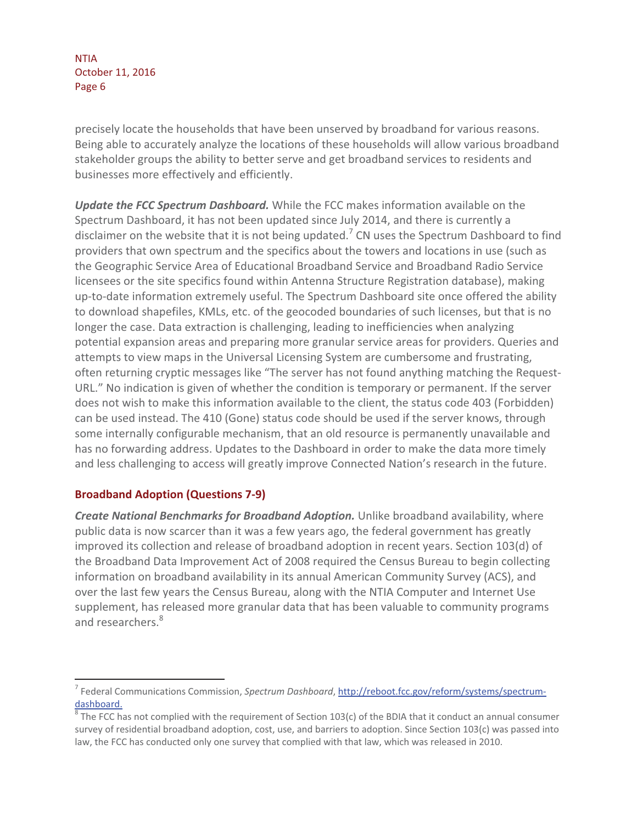precisely locate the households that have been unserved by broadband for various reasons. Being able to accurately analyze the locations of these households will allow various broadband stakeholder groups the ability to better serve and get broadband services to residents and businesses more effectively and efficiently.

*Update the FCC Spectrum Dashboard.* While the FCC makes information available on the Spectrum Dashboard, it has not been updated since July 2014, and there is currently a disclaimer on the website that it is not being updated.<sup>7</sup> CN uses the Spectrum Dashboard to find providers that own spectrum and the specifics about the towers and locations in use (such as the Geographic Service Area of Educational Broadband Service and Broadband Radio Service licensees or the site specifics found within Antenna Structure Registration database), making up-to-date information extremely useful. The Spectrum Dashboard site once offered the ability to download shapefiles, KMLs, etc. of the geocoded boundaries of such licenses, but that is no longer the case. Data extraction is challenging, leading to inefficiencies when analyzing potential expansion areas and preparing more granular service areas for providers. Queries and attempts to view maps in the Universal Licensing System are cumbersome and frustrating, often returning cryptic messages like "The server has not found anything matching the Request-URL." No indication is given of whether the condition is temporary or permanent. If the server does not wish to make this information available to the client, the status code 403 (Forbidden) can be used instead. The 410 (Gone) status code should be used if the server knows, through some internally configurable mechanism, that an old resource is permanently unavailable and has no forwarding address. Updates to the Dashboard in order to make the data more timely and less challenging to access will greatly improve Connected Nation's research in the future.

## **Broadband Adoption (Questions 7-9)**

 $\overline{a}$ 

*Create National Benchmarks for Broadband Adoption.* Unlike broadband availability, where public data is now scarcer than it was a few years ago, the federal government has greatly improved its collection and release of broadband adoption in recent years. Section 103(d) of the Broadband Data Improvement Act of 2008 required the Census Bureau to begin collecting information on broadband availability in its annual American Community Survey (ACS), and over the last few years the Census Bureau, along with the NTIA Computer and Internet Use supplement, has released more granular data that has been valuable to community programs and researchers.<sup>8</sup>

<sup>&</sup>lt;sup>7</sup> Federal Communications Commission, *Spectrum Dashboard*, <u>http://reboot.fcc.gov/reform/systems/spectrum-</u> dashboard.

 $^8$  The FCC has not complied with the requirement of Section 103(c) of the BDIA that it conduct an annual consumer survey of residential broadband adoption, cost, use, and barriers to adoption. Since Section 103(c) was passed into law, the FCC has conducted only one survey that complied with that law, which was released in 2010.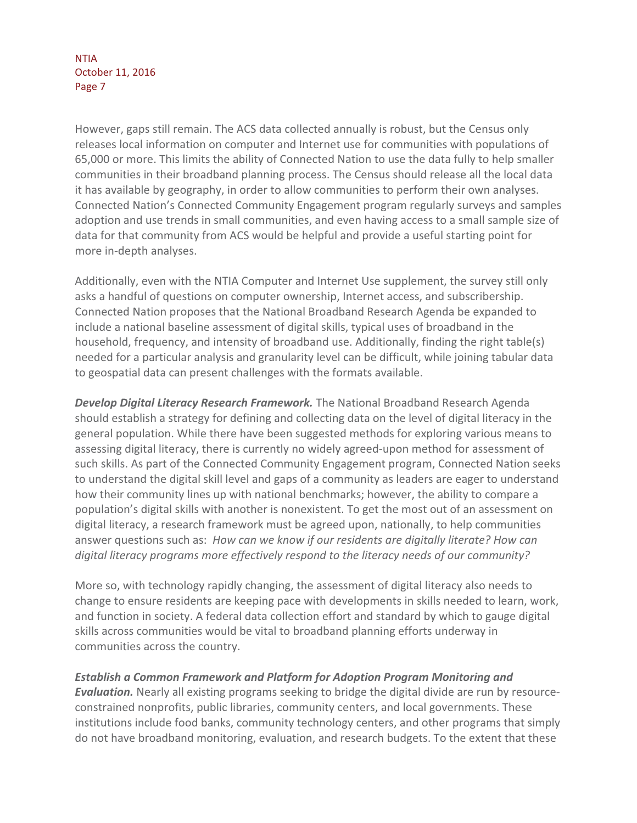However, gaps still remain. The ACS data collected annually is robust, but the Census only releases local information on computer and Internet use for communities with populations of 65,000 or more. This limits the ability of Connected Nation to use the data fully to help smaller communities in their broadband planning process. The Census should release all the local data it has available by geography, in order to allow communities to perform their own analyses. Connected Nation's Connected Community Engagement program regularly surveys and samples adoption and use trends in small communities, and even having access to a small sample size of data for that community from ACS would be helpful and provide a useful starting point for more in-depth analyses.

Additionally, even with the NTIA Computer and Internet Use supplement, the survey still only asks a handful of questions on computer ownership, Internet access, and subscribership. Connected Nation proposes that the National Broadband Research Agenda be expanded to include a national baseline assessment of digital skills, typical uses of broadband in the household, frequency, and intensity of broadband use. Additionally, finding the right table(s) needed for a particular analysis and granularity level can be difficult, while joining tabular data to geospatial data can present challenges with the formats available.

*Develop Digital Literacy Research Framework.* The National Broadband Research Agenda should establish a strategy for defining and collecting data on the level of digital literacy in the general population. While there have been suggested methods for exploring various means to assessing digital literacy, there is currently no widely agreed-upon method for assessment of such skills. As part of the Connected Community Engagement program, Connected Nation seeks to understand the digital skill level and gaps of a community as leaders are eager to understand how their community lines up with national benchmarks; however, the ability to compare a population's digital skills with another is nonexistent. To get the most out of an assessment on digital literacy, a research framework must be agreed upon, nationally, to help communities answer questions such as: *How can we know if our residents are digitally literate? How can digital literacy programs more effectively respond to the literacy needs of our community?* 

More so, with technology rapidly changing, the assessment of digital literacy also needs to change to ensure residents are keeping pace with developments in skills needed to learn, work, and function in society. A federal data collection effort and standard by which to gauge digital skills across communities would be vital to broadband planning efforts underway in communities across the country.

## *Establish a Common Framework and Platform for Adoption Program Monitoring and*

*Evaluation.* Nearly all existing programs seeking to bridge the digital divide are run by resourceconstrained nonprofits, public libraries, community centers, and local governments. These institutions include food banks, community technology centers, and other programs that simply do not have broadband monitoring, evaluation, and research budgets. To the extent that these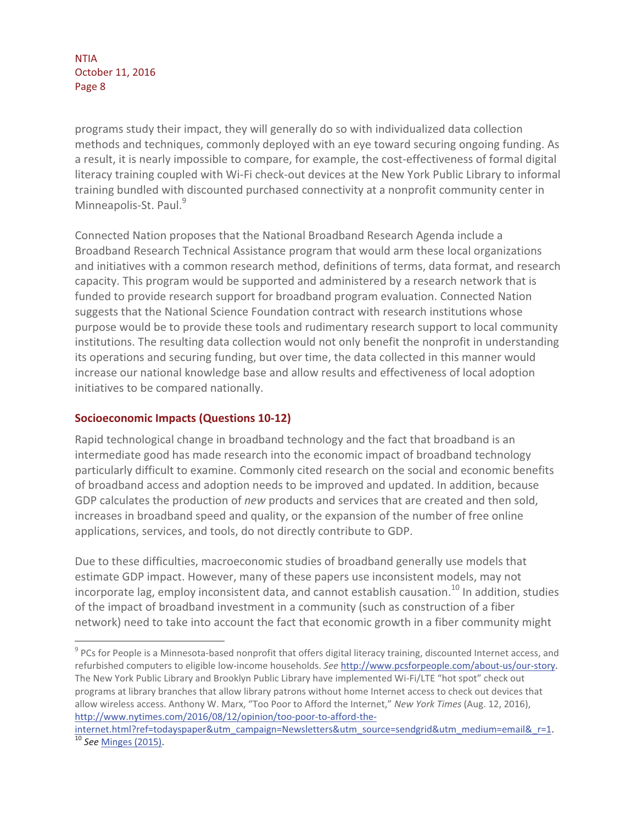programs study their impact, they will generally do so with individualized data collection methods and techniques, commonly deployed with an eye toward securing ongoing funding. As a result, it is nearly impossible to compare, for example, the cost-effectiveness of formal digital literacy training coupled with Wi-Fi check-out devices at the New York Public Library to informal training bundled with discounted purchased connectivity at a nonprofit community center in Minneapolis-St. Paul.<sup>9</sup>

Connected Nation proposes that the National Broadband Research Agenda include a Broadband Research Technical Assistance program that would arm these local organizations and initiatives with a common research method, definitions of terms, data format, and research capacity. This program would be supported and administered by a research network that is funded to provide research support for broadband program evaluation. Connected Nation suggests that the National Science Foundation contract with research institutions whose purpose would be to provide these tools and rudimentary research support to local community institutions. The resulting data collection would not only benefit the nonprofit in understanding its operations and securing funding, but over time, the data collected in this manner would increase our national knowledge base and allow results and effectiveness of local adoption initiatives to be compared nationally.

## **Socioeconomic Impacts (Questions 10-12)**

 $\overline{a}$ 

Rapid technological change in broadband technology and the fact that broadband is an intermediate good has made research into the economic impact of broadband technology particularly difficult to examine. Commonly cited research on the social and economic benefits of broadband access and adoption needs to be improved and updated. In addition, because GDP calculates the production of *new* products and services that are created and then sold, increases in broadband speed and quality, or the expansion of the number of free online applications, services, and tools, do not directly contribute to GDP.

Due to these difficulties, macroeconomic studies of broadband generally use models that estimate GDP impact. However, many of these papers use inconsistent models, may not incorporate lag, employ inconsistent data, and cannot establish causation.<sup>10</sup> In addition, studies of the impact of broadband investment in a community (such as construction of a fiber network) need to take into account the fact that economic growth in a fiber community might

 $^9$  PCs for People is a Minnesota-based nonprofit that offers digital literacy training, discounted Internet access, and refurbished computers to eligible low-income households. *See* http://www.pcsforpeople.com/about-us/our-story. The New York Public Library and Brooklyn Public Library have implemented Wi-Fi/LTE "hot spot" check out programs at library branches that allow library patrons without home Internet access to check out devices that allow wireless access. Anthony W. Marx, "Too Poor to Afford the Internet," *New York Times* (Aug. 12, 2016), http://www.nytimes.com/2016/08/12/opinion/too-poor-to-afford-the-

internet.html?ref=todayspaper&utm\_campaign=Newsletters&utm\_source=sendgrid&utm\_medium=email&\_r=1. 10 *See* Minges (2015).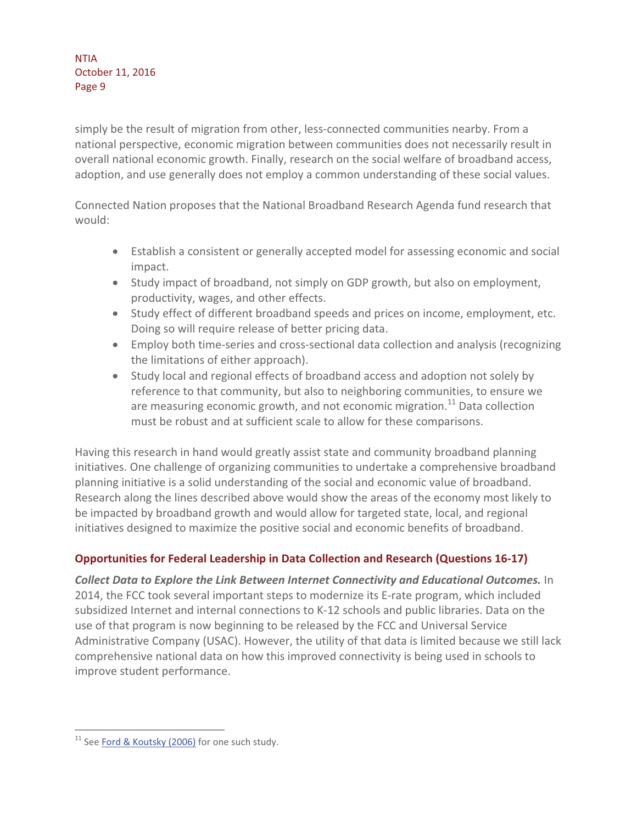simply be the result of migration from other, less-connected communities nearby. From a national perspective, economic migration between communities does not necessarily result in overall national economic growth. Finally, research on the social welfare of broadband access, adoption, and use generally does not employ a common understanding of these social values.

Connected Nation proposes that the National Broadband Research Agenda fund research that would:

- Establish a consistent or generally accepted model for assessing economic and social impact.
- Study impact of broadband, not simply on GDP growth, but also on employment, productivity, wages, and other effects.
- Study effect of different broadband speeds and prices on income, employment, etc. Doing so will require release of better pricing data.
- Employ both time-series and cross-sectional data collection and analysis (recognizing the limitations of either approach).
- Study local and regional effects of broadband access and adoption not solely by reference to that community, but also to neighboring communities, to ensure we are measuring economic growth, and not economic migration.<sup>11</sup> Data collection must be robust and at sufficient scale to allow for these comparisons.

Having this research in hand would greatly assist state and community broadband planning initiatives. One challenge of organizing communities to undertake a comprehensive broadband planning initiative is a solid understanding of the social and economic value of broadband. Research along the lines described above would show the areas of the economy most likely to be impacted by broadband growth and would allow for targeted state, local, and regional initiatives designed to maximize the positive social and economic benefits of broadband.

# **Opportunities for Federal Leadership in Data Collection and Research (Questions 16-17)**

*Collect Data to Explore the Link Between Internet Connectivity and Educational Outcomes.* In 2014, the FCC took several important steps to modernize its E-rate program, which included subsidized Internet and internal connections to K-12 schools and public libraries. Data on the use of that program is now beginning to be released by the FCC and Universal Service Administrative Company (USAC). However, the utility of that data is limited because we still lack comprehensive national data on how this improved connectivity is being used in schools to improve student performance.

 $\overline{a}$ 

 $11$  See Ford & Koutsky (2006) for one such study.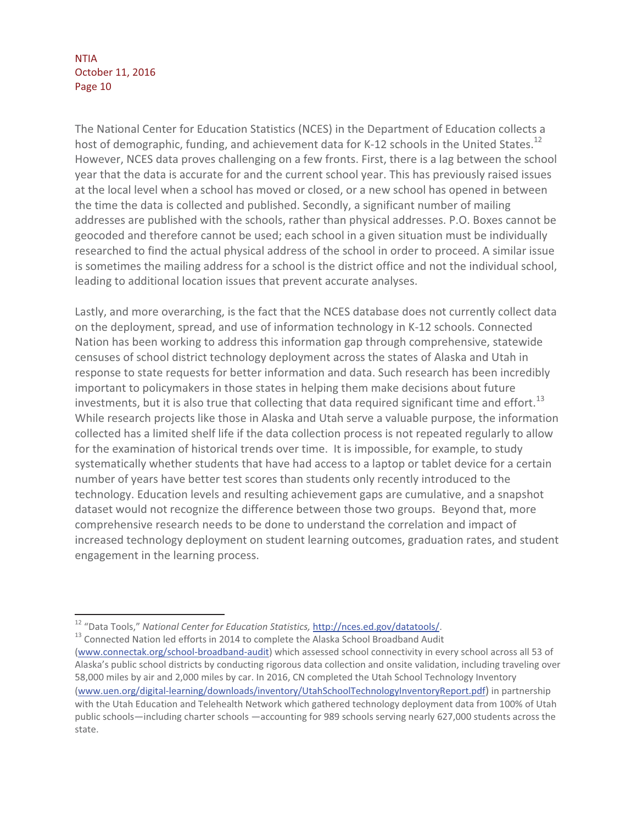$\overline{a}$ 

The National Center for Education Statistics (NCES) in the Department of Education collects a host of demographic, funding, and achievement data for K-12 schools in the United States.<sup>12</sup> However, NCES data proves challenging on a few fronts. First, there is a lag between the school year that the data is accurate for and the current school year. This has previously raised issues at the local level when a school has moved or closed, or a new school has opened in between the time the data is collected and published. Secondly, a significant number of mailing addresses are published with the schools, rather than physical addresses. P.O. Boxes cannot be geocoded and therefore cannot be used; each school in a given situation must be individually researched to find the actual physical address of the school in order to proceed. A similar issue is sometimes the mailing address for a school is the district office and not the individual school, leading to additional location issues that prevent accurate analyses.

Lastly, and more overarching, is the fact that the NCES database does not currently collect data on the deployment, spread, and use of information technology in K-12 schools. Connected Nation has been working to address this information gap through comprehensive, statewide censuses of school district technology deployment across the states of Alaska and Utah in response to state requests for better information and data. Such research has been incredibly important to policymakers in those states in helping them make decisions about future investments, but it is also true that collecting that data required significant time and effort.<sup>13</sup> While research projects like those in Alaska and Utah serve a valuable purpose, the information collected has a limited shelf life if the data collection process is not repeated regularly to allow for the examination of historical trends over time. It is impossible, for example, to study systematically whether students that have had access to a laptop or tablet device for a certain number of years have better test scores than students only recently introduced to the technology. Education levels and resulting achievement gaps are cumulative, and a snapshot dataset would not recognize the difference between those two groups. Beyond that, more comprehensive research needs to be done to understand the correlation and impact of increased technology deployment on student learning outcomes, graduation rates, and student engagement in the learning process.

<sup>&</sup>lt;sup>12</sup> "Data Tools," *National Center for Education Statistics*, *http://nces.ed.gov/datatools/.* 13<br><sup>13</sup> Connected Nation led efforts in 2014 to complete the Alaska School Broadband Audit

<sup>(</sup>www.connectak.org/school-broadband-audit) which assessed school connectivity in every school across all 53 of Alaska's public school districts by conducting rigorous data collection and onsite validation, including traveling over 58,000 miles by air and 2,000 miles by car. In 2016, CN completed the Utah School Technology Inventory (www.uen.org/digital-learning/downloads/inventory/UtahSchoolTechnologyInventoryReport.pdf) in partnership with the Utah Education and Telehealth Network which gathered technology deployment data from 100% of Utah public schools—including charter schools —accounting for 989 schools serving nearly 627,000 students across the state.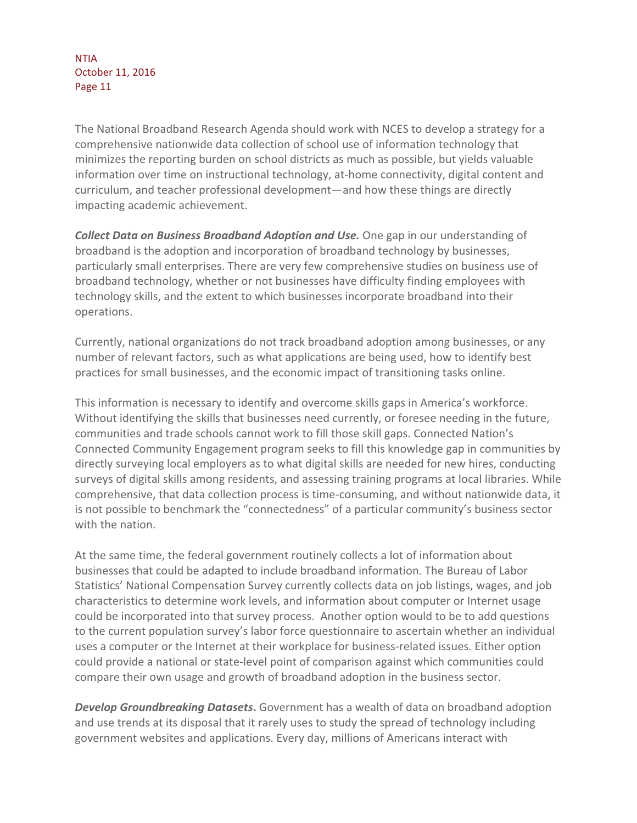The National Broadband Research Agenda should work with NCES to develop a strategy for a comprehensive nationwide data collection of school use of information technology that minimizes the reporting burden on school districts as much as possible, but yields valuable information over time on instructional technology, at-home connectivity, digital content and curriculum, and teacher professional development—and how these things are directly impacting academic achievement.

*Collect Data on Business Broadband Adoption and Use.* One gap in our understanding of broadband is the adoption and incorporation of broadband technology by businesses, particularly small enterprises. There are very few comprehensive studies on business use of broadband technology, whether or not businesses have difficulty finding employees with technology skills, and the extent to which businesses incorporate broadband into their operations.

Currently, national organizations do not track broadband adoption among businesses, or any number of relevant factors, such as what applications are being used, how to identify best practices for small businesses, and the economic impact of transitioning tasks online.

This information is necessary to identify and overcome skills gaps in America's workforce. Without identifying the skills that businesses need currently, or foresee needing in the future, communities and trade schools cannot work to fill those skill gaps. Connected Nation's Connected Community Engagement program seeks to fill this knowledge gap in communities by directly surveying local employers as to what digital skills are needed for new hires, conducting surveys of digital skills among residents, and assessing training programs at local libraries. While comprehensive, that data collection process is time-consuming, and without nationwide data, it is not possible to benchmark the "connectedness" of a particular community's business sector with the nation.

At the same time, the federal government routinely collects a lot of information about businesses that could be adapted to include broadband information. The Bureau of Labor Statistics' National Compensation Survey currently collects data on job listings, wages, and job characteristics to determine work levels, and information about computer or Internet usage could be incorporated into that survey process. Another option would to be to add questions to the current population survey's labor force questionnaire to ascertain whether an individual uses a computer or the Internet at their workplace for business-related issues. Either option could provide a national or state-level point of comparison against which communities could compare their own usage and growth of broadband adoption in the business sector.

*Develop Groundbreaking Datasets***.** Government has a wealth of data on broadband adoption and use trends at its disposal that it rarely uses to study the spread of technology including government websites and applications. Every day, millions of Americans interact with